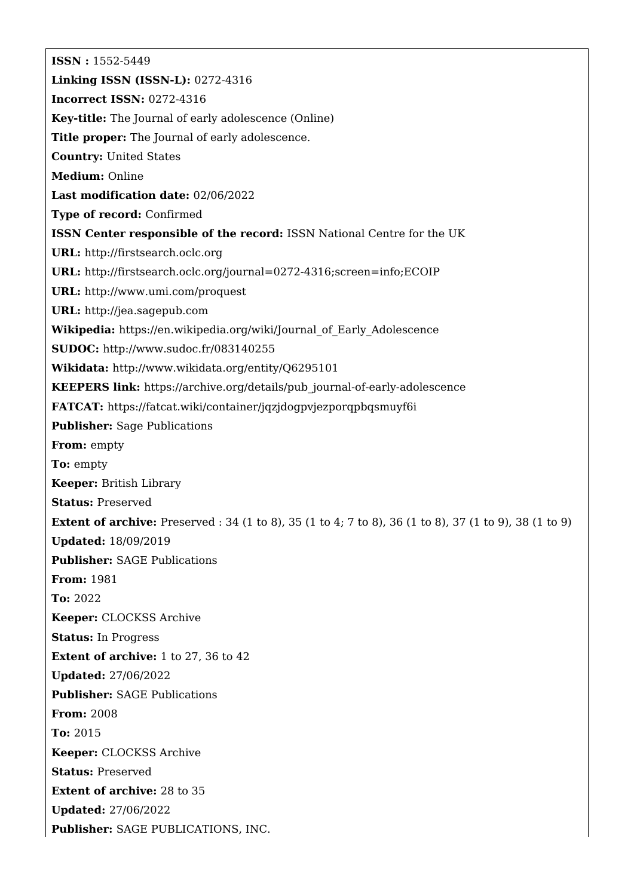**ISSN :** 1552-5449 **Linking ISSN (ISSN-L):** 0272-4316 **Incorrect ISSN:** 0272-4316 **Key-title:** The Journal of early adolescence (Online) **Title proper:** The Journal of early adolescence. **Country:** United States **Medium:** Online **Last modification date:** 02/06/2022 **Type of record:** Confirmed **ISSN Center responsible of the record:** ISSN National Centre for the UK **URL:** <http://firstsearch.oclc.org> **URL:** <http://firstsearch.oclc.org/journal=0272-4316;screen=info;ECOIP> **URL:** <http://www.umi.com/proquest> **URL:** <http://jea.sagepub.com> **Wikipedia:** [https://en.wikipedia.org/wiki/Journal\\_of\\_Early\\_Adolescence](https://en.wikipedia.org/wiki/Journal_of_Early_Adolescence) **SUDOC:** <http://www.sudoc.fr/083140255> **Wikidata:** <http://www.wikidata.org/entity/Q6295101> **KEEPERS link:** [https://archive.org/details/pub\\_journal-of-early-adolescence](https://archive.org/details/pub_journal-of-early-adolescence) **FATCAT:** <https://fatcat.wiki/container/jqzjdogpvjezporqpbqsmuyf6i> **Publisher:** Sage Publications **From:** empty **To:** empty **Keeper:** British Library **Status:** Preserved **Extent of archive:** Preserved : 34 (1 to 8), 35 (1 to 4; 7 to 8), 36 (1 to 8), 37 (1 to 9), 38 (1 to 9) **Updated:** 18/09/2019 **Publisher:** SAGE Publications **From:** 1981 **To:** 2022 **Keeper:** CLOCKSS Archive **Status:** In Progress **Extent of archive:** 1 to 27, 36 to 42 **Updated:** 27/06/2022 **Publisher:** SAGE Publications **From:** 2008 **To:** 2015 **Keeper:** CLOCKSS Archive **Status:** Preserved **Extent of archive:** 28 to 35 **Updated:** 27/06/2022 **Publisher:** SAGE PUBLICATIONS, INC.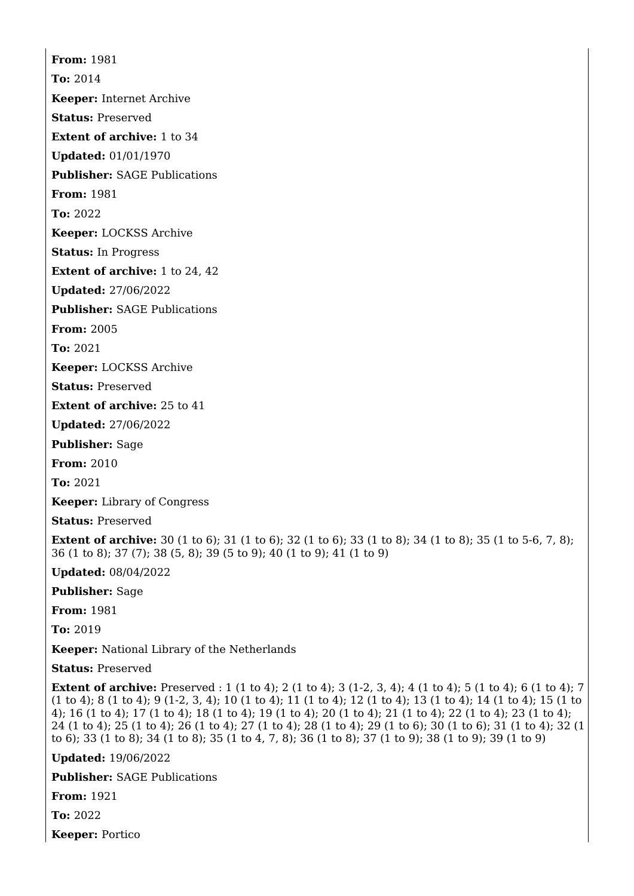**From:** 1981 **To:** 2014 **Keeper:** Internet Archive **Status:** Preserved **Extent of archive:** 1 to 34 **Updated:** 01/01/1970 **Publisher:** SAGE Publications **From:** 1981 **To:** 2022

**Keeper:** LOCKSS Archive

**Status:** In Progress

**Extent of archive:** 1 to 24, 42

**Updated:** 27/06/2022

**Publisher:** SAGE Publications

**From:** 2005

**To:** 2021

**Keeper:** LOCKSS Archive

**Status:** Preserved

**Extent of archive:** 25 to 41

**Updated:** 27/06/2022

**Publisher:** Sage

**From:** 2010

**To:** 2021

**Keeper:** Library of Congress

**Status:** Preserved

**Extent of archive:** 30 (1 to 6); 31 (1 to 6); 32 (1 to 6); 33 (1 to 8); 34 (1 to 8); 35 (1 to 5-6, 7, 8); 36 (1 to 8); 37 (7); 38 (5, 8); 39 (5 to 9); 40 (1 to 9); 41 (1 to 9)

**Updated:** 08/04/2022

**Publisher:** Sage

**From:** 1981

**To:** 2019

**Keeper:** National Library of the Netherlands

**Status:** Preserved

**Extent of archive:** Preserved : 1 (1 to 4); 2 (1 to 4); 3 (1-2, 3, 4); 4 (1 to 4); 5 (1 to 4); 6 (1 to 4); 7 (1 to 4); 8 (1 to 4); 9 (1-2, 3, 4); 10 (1 to 4); 11 (1 to 4); 12 (1 to 4); 13 (1 to 4); 14 (1 to 4); 15 (1 to 4); 16 (1 to 4); 17 (1 to 4); 18 (1 to 4); 19 (1 to 4); 20 (1 to 4); 21 (1 to 4); 22 (1 to 4); 23 (1 to 4); 24 (1 to 4); 25 (1 to 4); 26 (1 to 4); 27 (1 to 4); 28 (1 to 4); 29 (1 to 6); 30 (1 to 6); 31 (1 to 4); 32 (1 to 6); 33 (1 to 8); 34 (1 to 8); 35 (1 to 4, 7, 8); 36 (1 to 8); 37 (1 to 9); 38 (1 to 9); 39 (1 to 9)

**Updated:** 19/06/2022

**Publisher:** SAGE Publications

**From:** 1921

**To:** 2022

**Keeper:** Portico